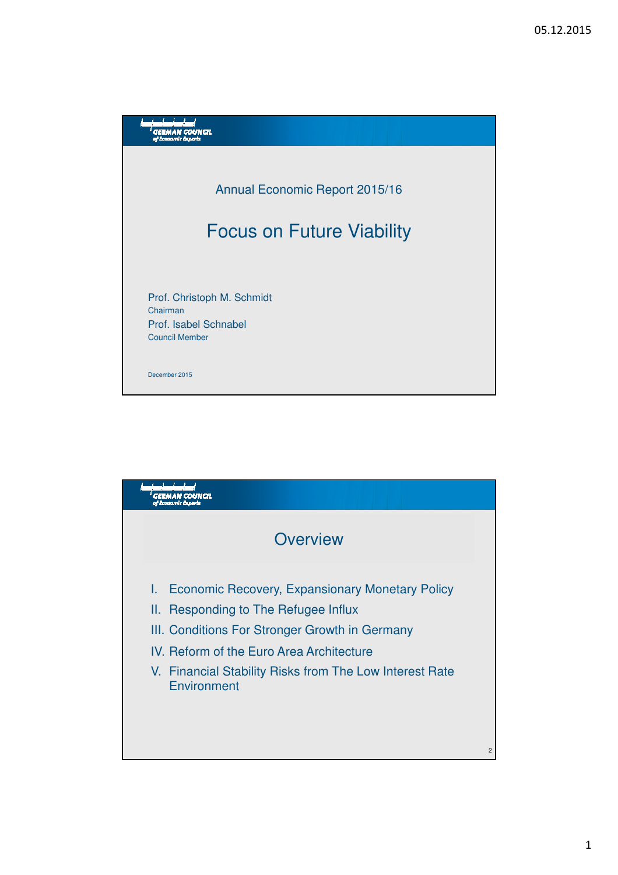

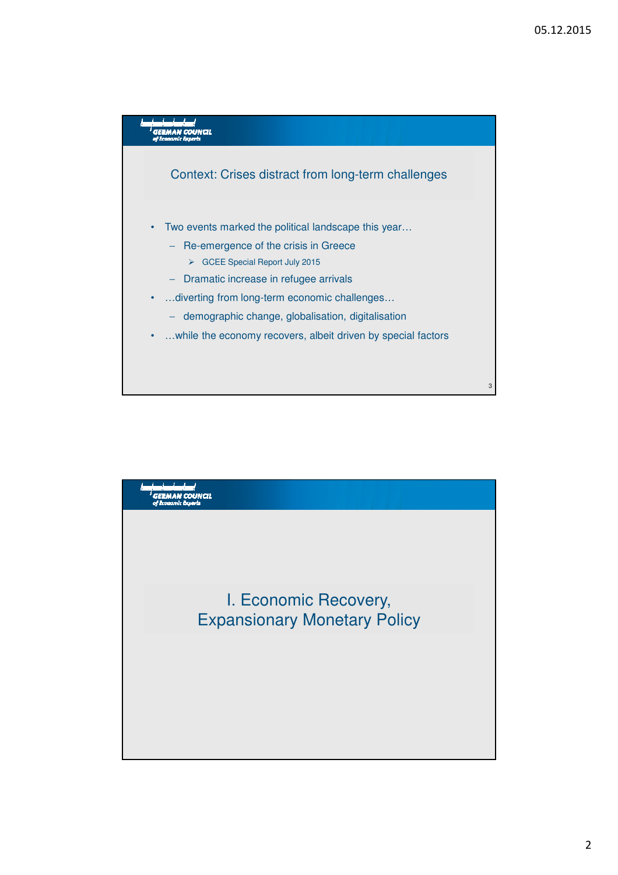

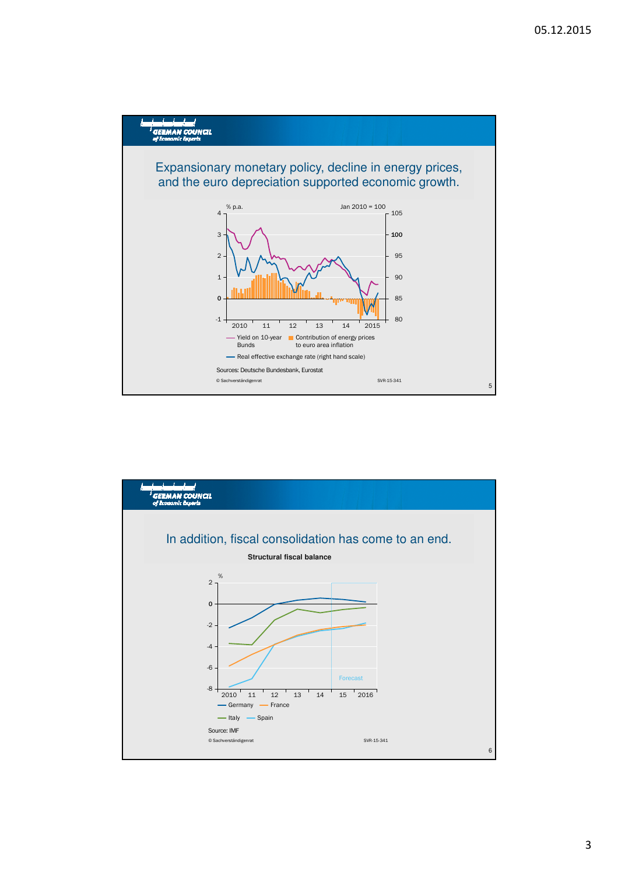

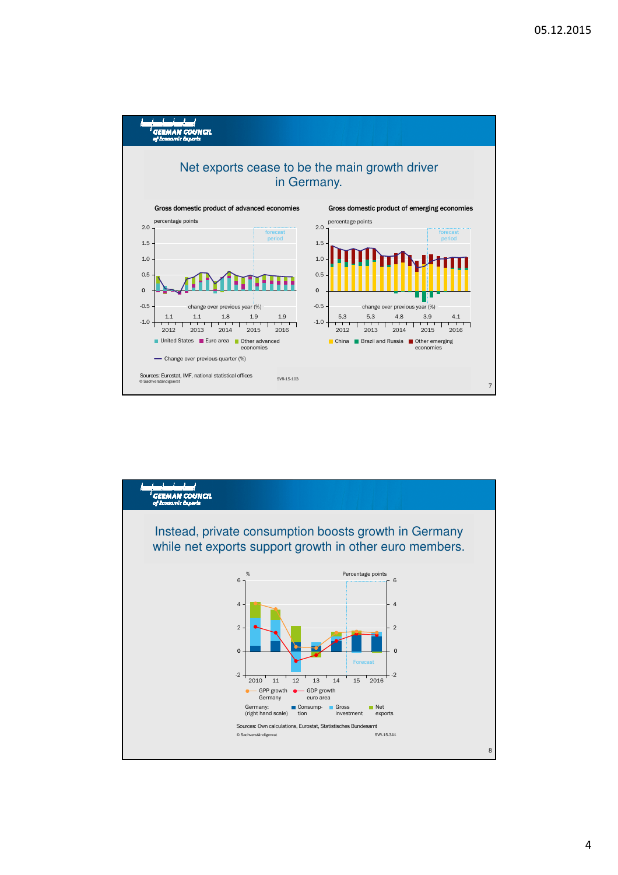

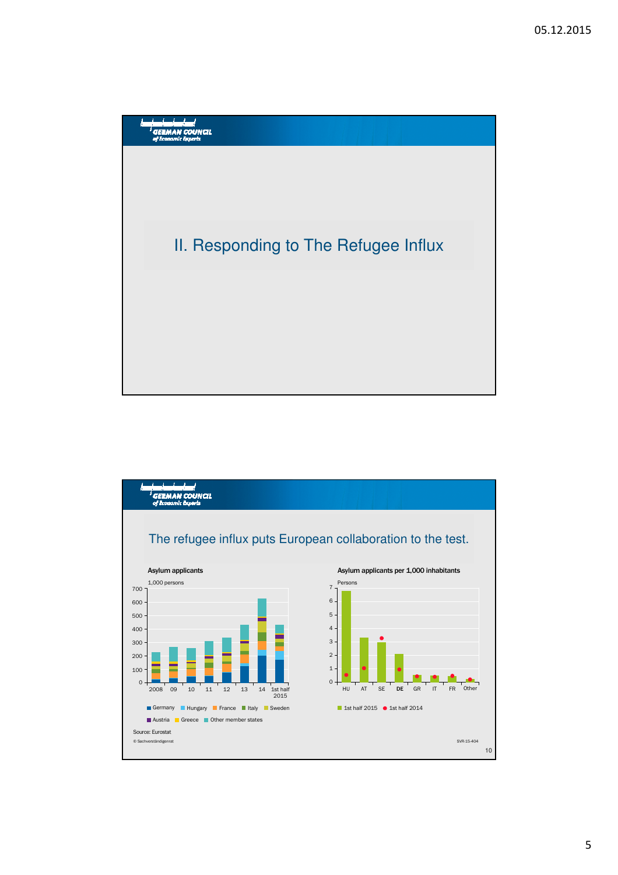

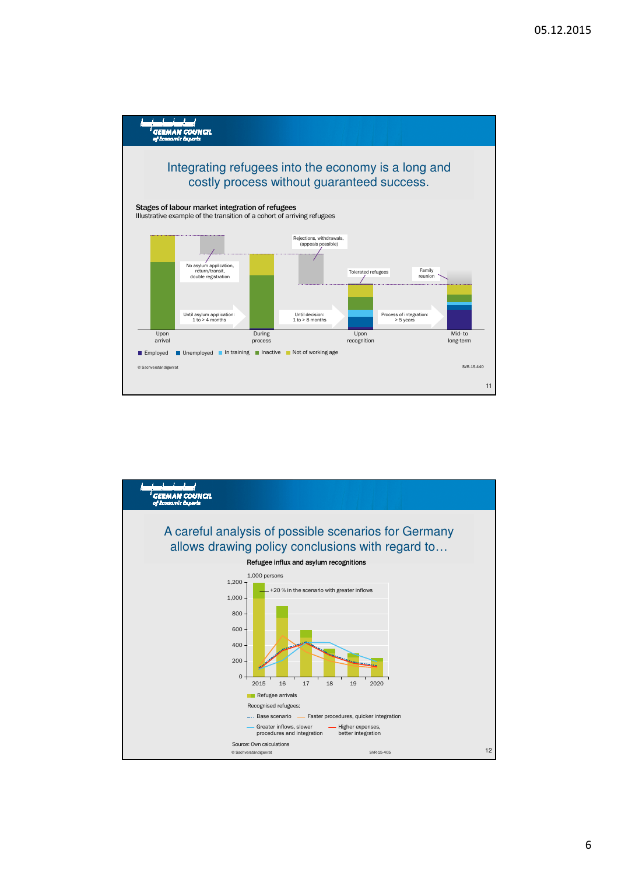

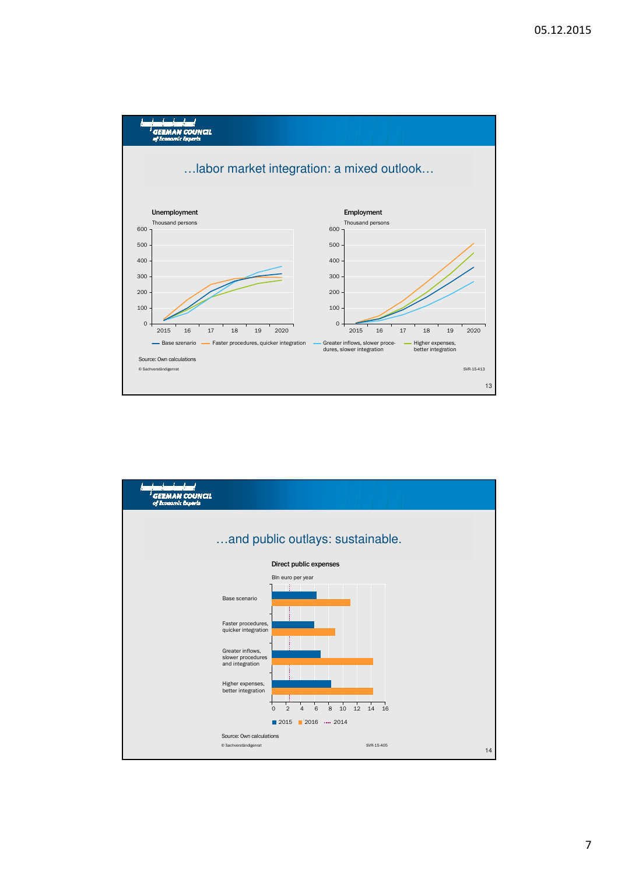

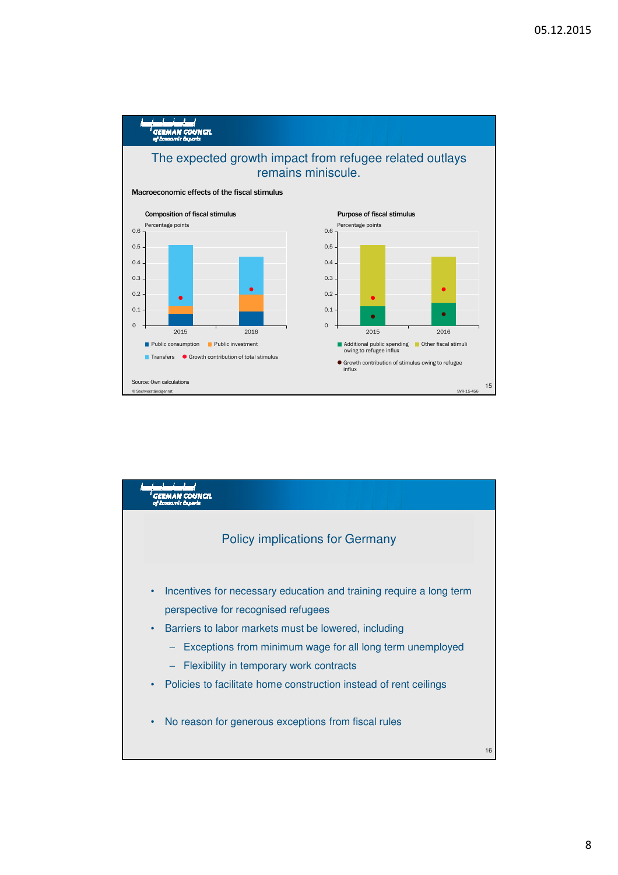

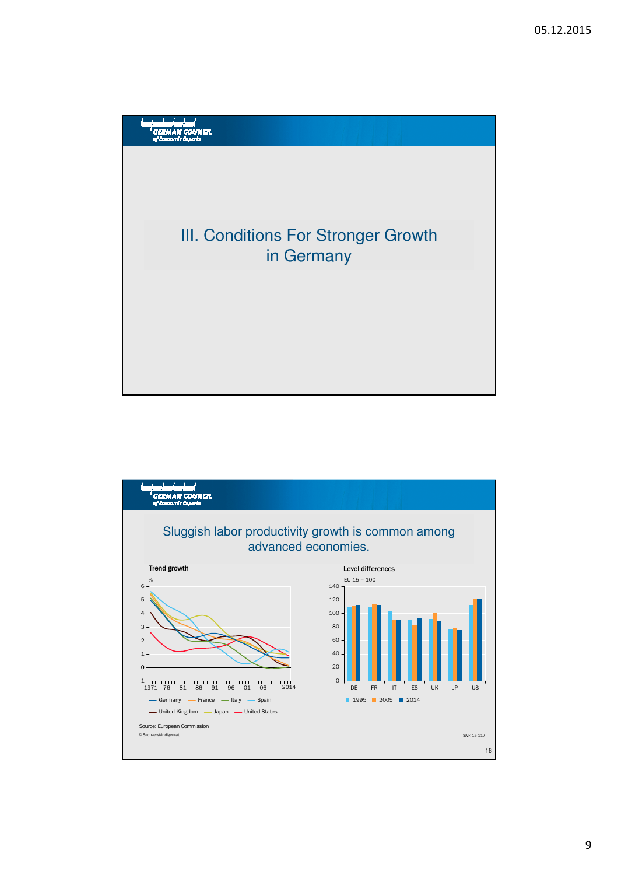

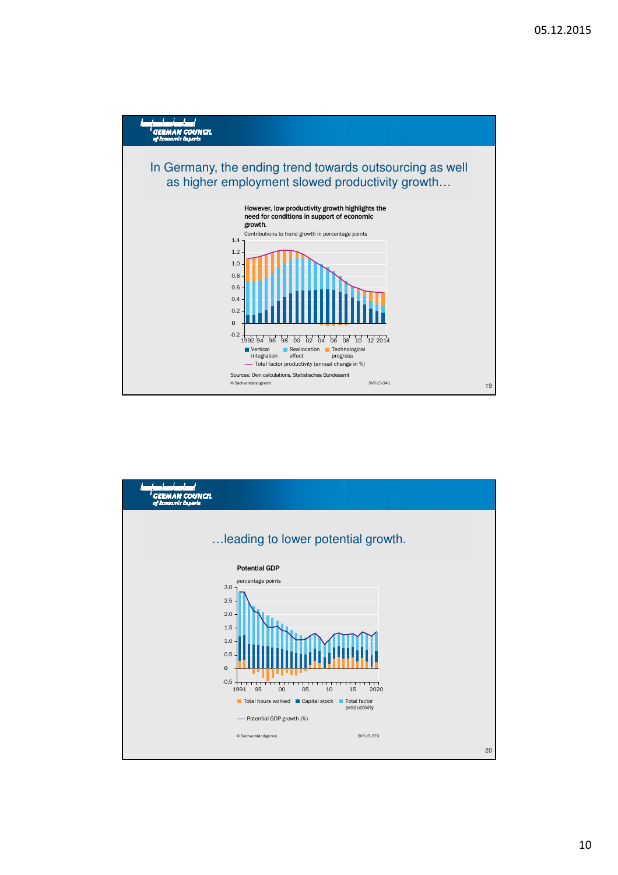

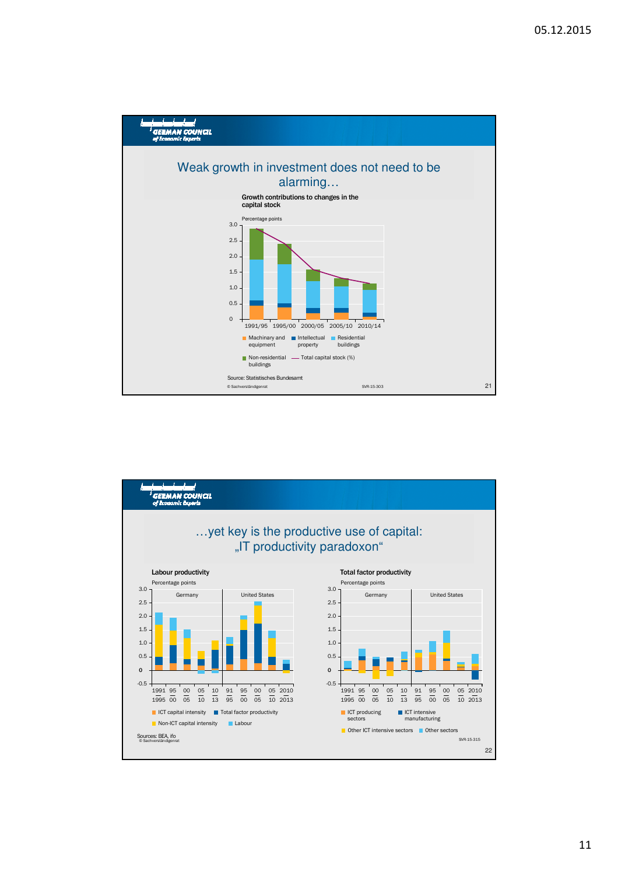

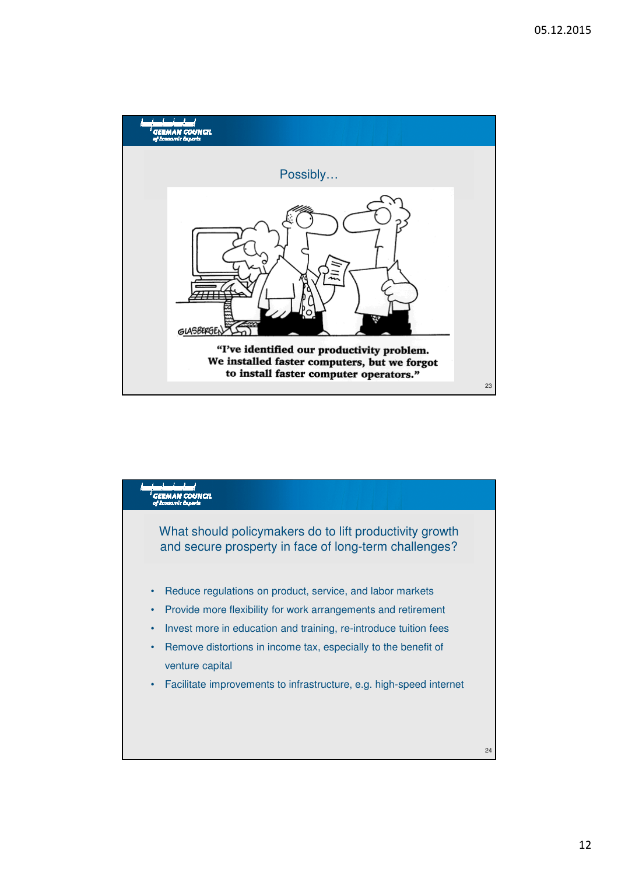

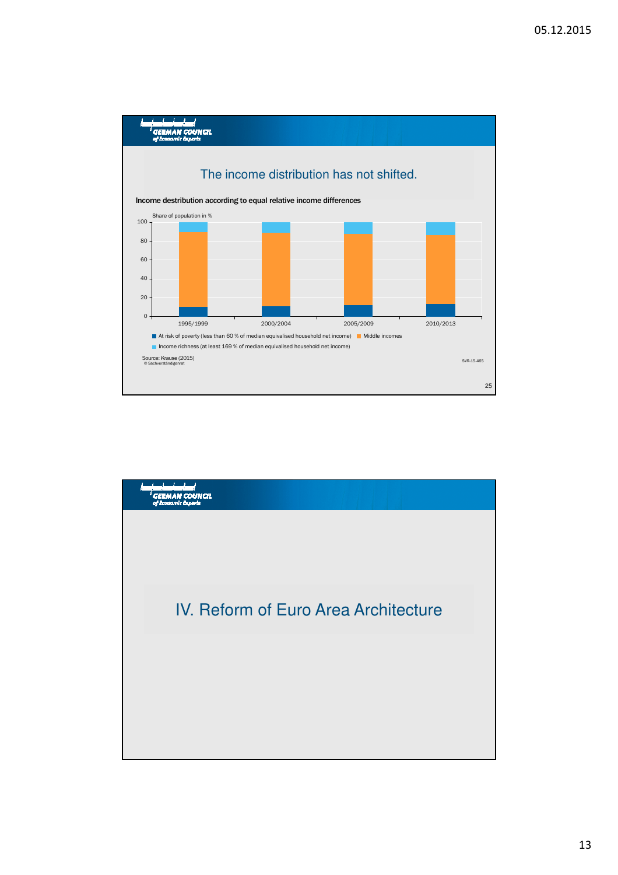

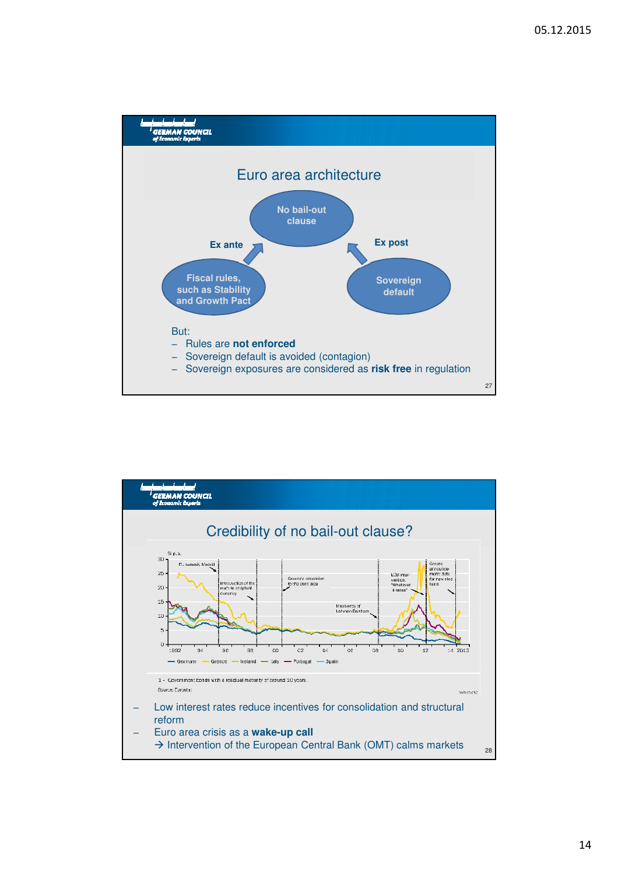

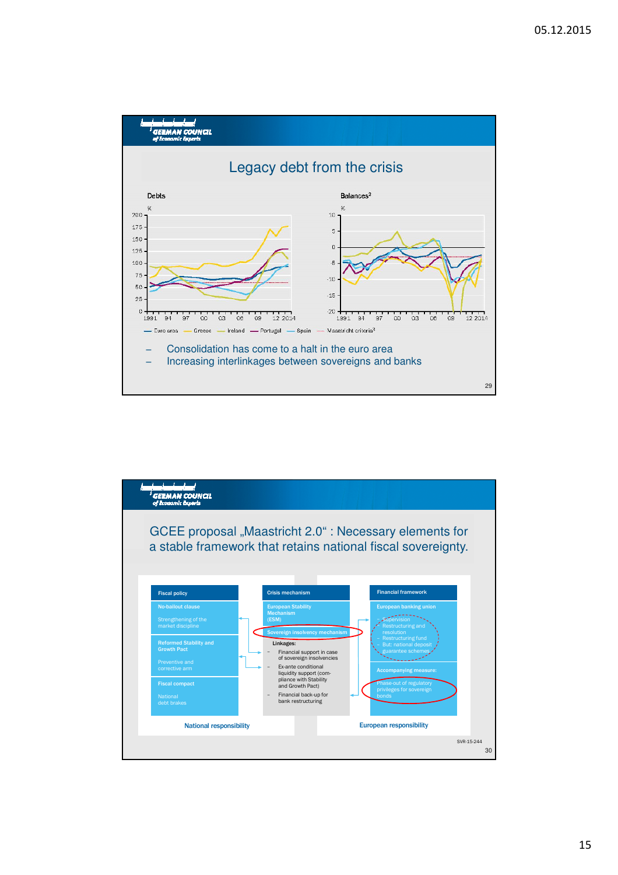

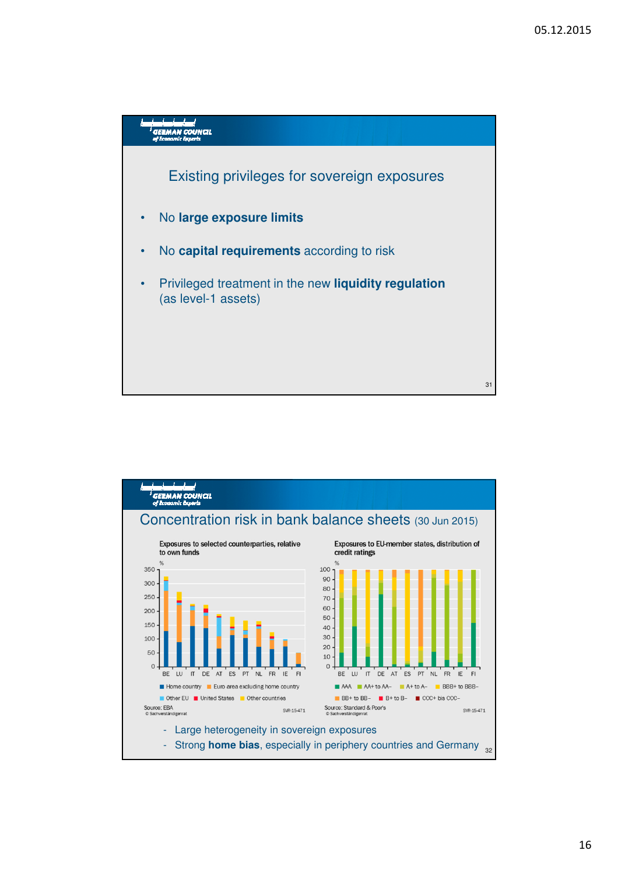

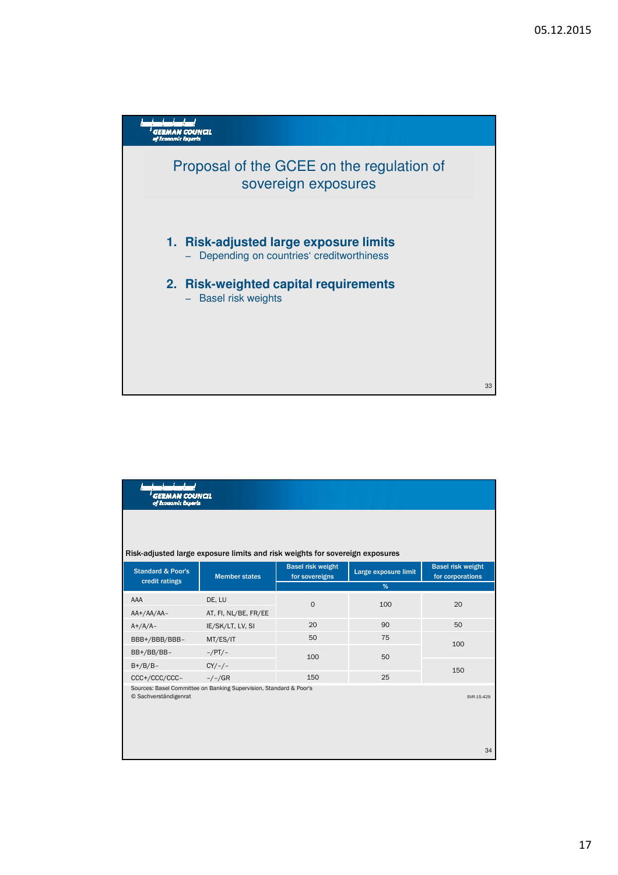

| GERMAN COUNCIL<br>of Economic Experts |                                                                              |                                            |                      |                                              |
|---------------------------------------|------------------------------------------------------------------------------|--------------------------------------------|----------------------|----------------------------------------------|
|                                       | Risk-adjusted large exposure limits and risk weights for sovereign exposures |                                            |                      |                                              |
| <b>Standard &amp; Poor's</b>          | <b>Member states</b>                                                         | <b>Basel risk weight</b><br>for sovereigns | Large exposure limit | <b>Basel risk weight</b><br>for corporations |
| credit ratings                        |                                                                              | %                                          |                      |                                              |
| AAA                                   | DE, LU                                                                       | $\mathbf 0$                                | 100                  | 20                                           |
| $AA+/AA/AA-$                          | AT, FI, NL/BE, FR/EE                                                         |                                            |                      |                                              |
| $A+/A/A-$                             | IE/SK/LT, LV, SI                                                             | 20                                         | 90                   | 50                                           |
| BBB+/BBB/BBB-                         | MT/ES/IT                                                                     | 50                                         | 75                   | 100<br>150                                   |
| BB+/BB/BB-                            | $-/PT/$                                                                      | 100                                        | 50                   |                                              |
| $B+/B/B-$                             | $CY/-/-$                                                                     |                                            |                      |                                              |
| CCC+/CCC/CCC-                         | $-/-/GR$                                                                     | 150                                        | 25                   |                                              |
| © Sachverständigenrat                 | Sources: Basel Committee on Banking Supervision, Standard & Poor's           |                                            |                      | SVR-15-429                                   |
|                                       |                                                                              |                                            |                      | 34                                           |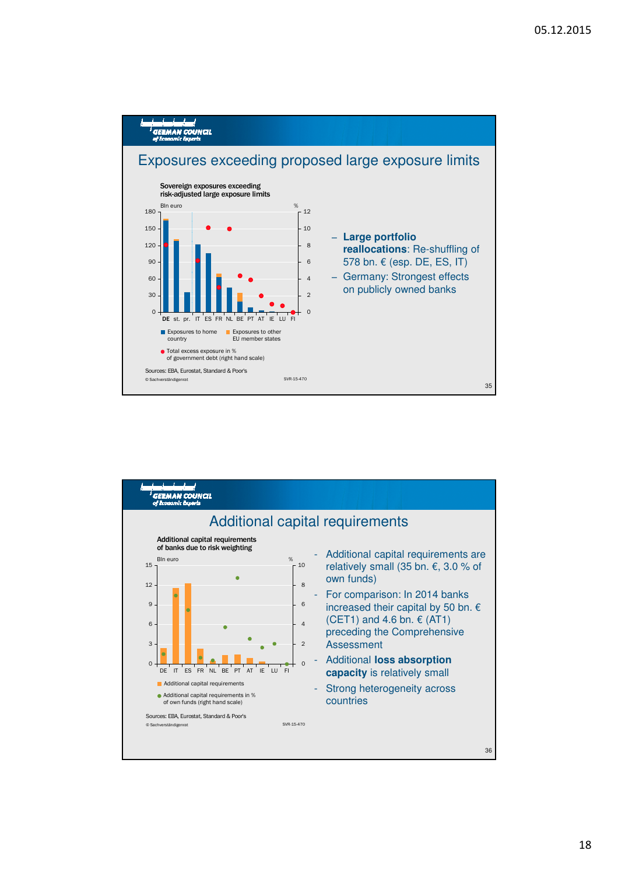

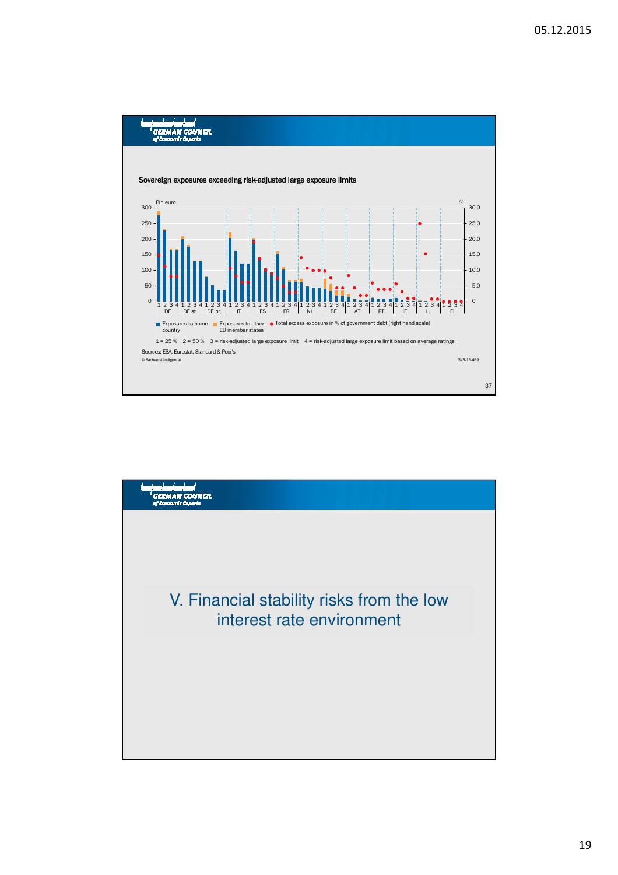

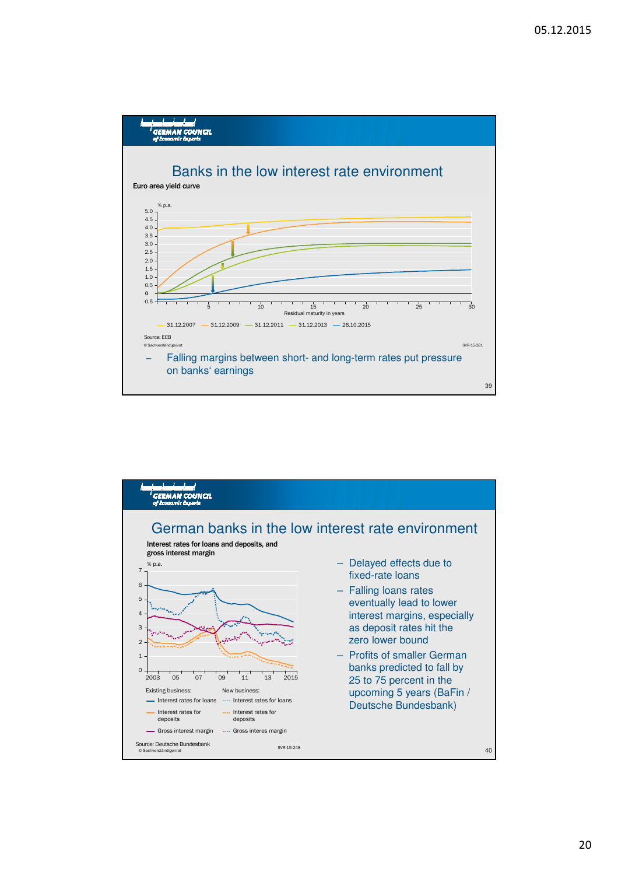

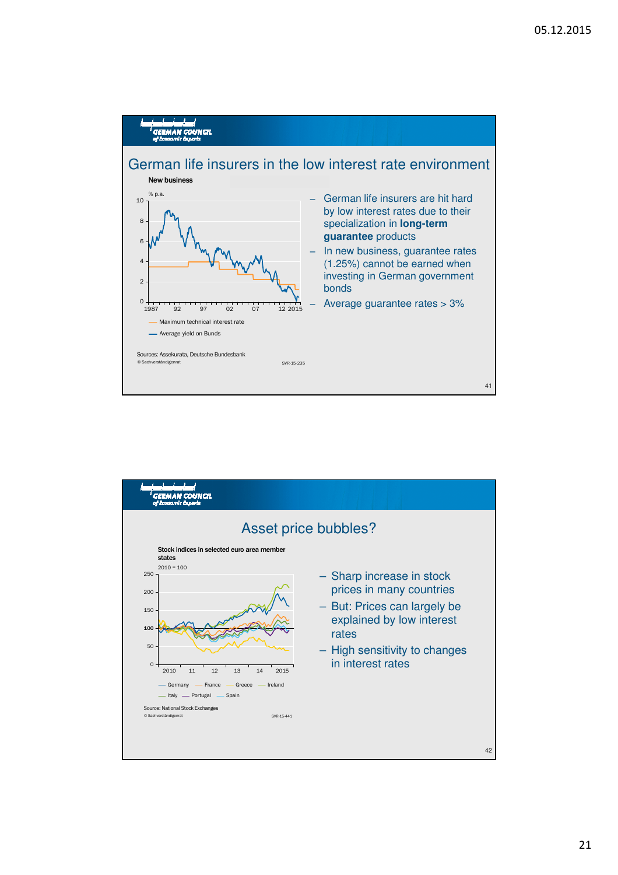

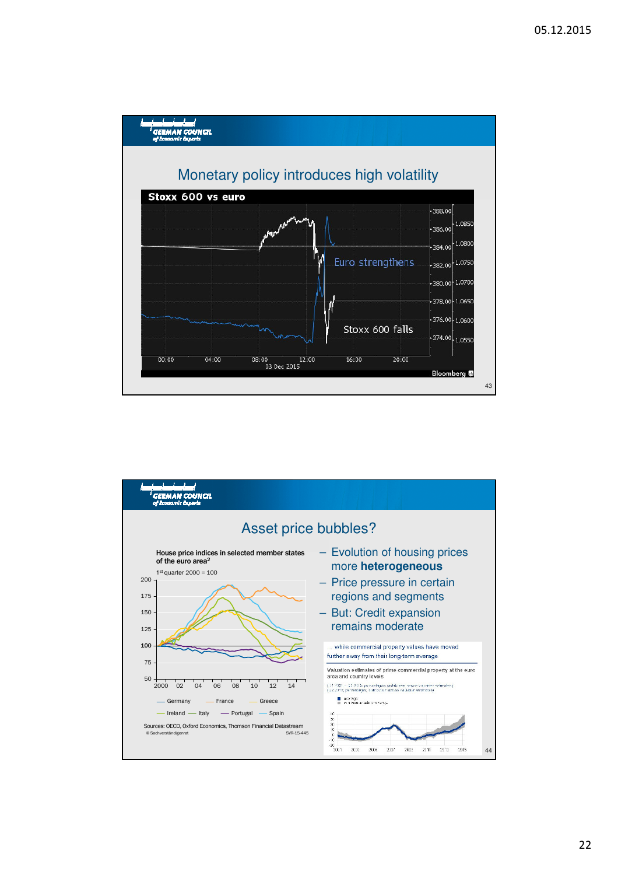